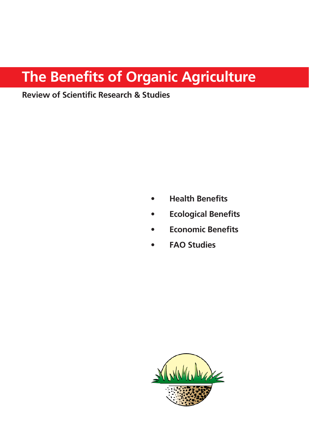# The Benefits of Organic Agriculture

## **Review of Scientific Research & Studies**

- **Health Benefits**
- **Ecological Benefits**
- **Economic Benefits**
- **FAO Studies**

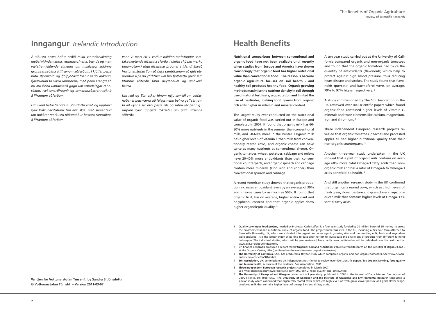A recent American study showed that organic production increases antioxidant levels by an average of 30% and in some cases by as much as 50%. It found that organic fruit, has on average, higher antioxidant and polyphenol content and that organic apples show higher organoleptic quality.<sup>2</sup>

The largest study ever conducted on the nutritional value of organic food was carried out in Europe and completed in 2007. It found that organic milk has 60- 80% more nutrients in the summer than conventional milk, and 50-60% more in the winter. Organic milk has higher levels of vitamin E than milk from conventionally reared cows, and organic cheese can have twice as many nutrients as conventional cheese. Organic tomatoes, wheat, potatoes, cabbage and onions have 20-40% more antioxidants than their conventional counterparts, and organic spinach and cabbage contain more minerals (zinc, iron and copper) than conventional spinach and cabbage. 1

A ten year study carried out at the University of California compared organic and non-organic tomatoes and found that the organic tomatoes had twice the quantity of antioxidants (flavonoids) which help to protect against high blood pressure, thus reducing heart disease and strokes. The study found that flavonoids quercetin and kaempferol were, on average, 79% to 97% higher respectively. 3

A study commissioned by The Soil Association in the UK reviewed over 400 scientific papers which found organic food contained higher levels of Vitamin C, minerals and trace elements like calcium, magnesium, iron and chromium. 4

Three independent European research projects revealed that organic tomatoes, peaches and processed apples all had higher nutritional quality than their non-organic counterparts. 5

Another three-year study undertaken in the UK showed that a pint of organic milk contains on average 68% more total Omega-3 fatty acids than nonorganic milk and has a ratio of Omega-6 to Omerga-3 acids beneficial to health. 6

entist.com/article/dn6844.html. <sup>4</sup> Soil Association, UK, commissioned an independent nutritionist to review over 400 scientific papers. See Organic farming, food quality

and human health, A review of the evidence, Soil Association, 2001. 5 **Three Independent European research projects** completed in March 2007.

See http:/orgprints.org/view/projects/int\_conf\_2007qlif\_2\_food\_quality\_and\_safety.html 6 The University of Liverpool and Glasgow carried out a 3 year study, published in 2006 in the Journal of Dairy Science. See Journal of

And still another research study in the UK confirmed that organically reared cows, which eat high levels of fresh grass, clover pasture and grass clover silage, produced milk that contains higher levels of Omega-3 essential fatty acids.

Dairy Science, 89: 1938-1950. The University of Aberdeen and the Institute of Grassland and Environmental Research conducted a similar study which confirmed that organically reared cows, which eat high levels of fresh grass, clover pasture and grass clover silage, produced milk that contains higher levels of omega 3 essential fatty acids.

**Written for Vottunarstofan Tún ehf. by Sandra B. Jónsdóttir @ Vottunarstofan Tún ehf. - Version 2011-03-07** 

## **Inngangur** *Icelandic Introduction*

*Á síðustu árum hefur orðið mikil vitundarvakning meðal vísindamanna, vísindastofnana, bænda og matvælaframleiðenda almennt um mikilvægi aukinna grunnrannsókna á lífrænum aðferðum. Í kjölfar þessa hafa stjórnvöld og fjölþjóðastofnanir varið auknum fjármunum til slíkra rannsókna, með þeim árangri að nú má finna umtalsverð gögn um vísindalegar rannsóknir, ræktunartilraunir og samanburðarrannsóknir á lífrænum aðferðum.* 

*Um skeið hefur Sandra B. Jónsdóttir ritað og uppfært fyrir Vottunarstofuna Tún ehf. skjal með samantekt um nokkrar merkustu niðurstöður þessara rannsókna á lífrænum aðferðum.* 

*Þann 7. mars 2011 verður haldinn stofnfundur samtaka neytenda lífrænna afurða. Í tilefni af þeim merku tímamótum í sögu lífrænnar þróunar á Íslandi ákvað Vottunarstofan Tún að færa samtökunum að gjöf sérprentun á þessu yfirlitsriti um hin fjölþættu gæði sem lífrænar aðferðir færa neytendum og umhverfi þeirra.* 

*Um leið og Tún óskar hinum nýju samtökum velfarnaðar er þess vænst að félagsmenn þeirra gefi sér tóm til að kynna sér efni þessa rits og safna sér þannig í sarpinn fyrir upplýsta rökræðu um gildi lífrænna aðferða.*

## **Health Benefits**

**Nutritional comparisons between conventional and**  $\alpha$  organic food have not been available until recently **labbb** when studies from Europe and America have shown **koo k convincingly that organic food has higher nutritional k** value than conventional food. The reason is because **dg\Vc^X V\g^XjaijgZ [dXjhZh dc hd^a ]ZVai] " VcY**  $\Sigma$  healthy soil produces healthy food. Organic growing **bZi]dYh bVm^b^hZ i]Z cjig^Zci YZch^in ^c hd^ai]gdj\] juse of natural fertilisers, crop rotation and limited the**  $i$  use of pesticides, making food grown from organic  $\frac{1}{2}$  **rich soils higher in vitamin and mineral content.** 

the environmental and nutritional value of organic food. The project numerous sites in the EU, including a 725 acre farm attached to Newcastle University, UK, which were divided into organic and non-organic growing sites and the resulting milk, fruits and vegetables were analysed. It is the largest study of its kind to date and the first to investigate the physiology of produce from different farming techniques. The individual studies, which will be peer reviewed, have partly been published or will be published over the next months. www.qlif.org/about/index.html.

at the Organic Centre, USA (published on the website www.organic-centre.org).

<sup>1</sup> **Quality Low Input Food project**, headed by Professor Carlo Leifert is a four year study funded by 20 million Euros of EU money to assess

Dr. Charles Benbrook produced a report called 'Organic Food and Nutritional Value: Current Research on the Benefits of Organic Food',

<sup>3</sup> The University of California, USA, has produced a 10 year study which compared organic and non-organic tomatoes. See www.newsci-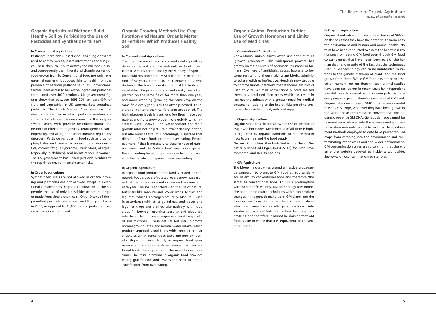**Drganic Agricultural Methods Build Healthy Soil by Forbidding the Use of Pesticides and Synthetic Fertilisers** 

#### **In Conventional agriculture**

#### **In Organic Agriculture**

Pesticides (herbicides, insecticides and fungicides) are used to control weeds, insect infestations and funguses. These chemical inputs destroy the microbes in soil and consequently the mineral and vitamin content of food grown from it. Conventional food not only lacks essential nutrients, but poses risks to health from the presence of harmful pesticide residues. Conventional farmers have access to 440 active ingredient pesticides formulated over 4000 products. UK government figures show that between 1998-2001 at least 40% of fruit and vegetables in UK supermarkets contained pesticides. The British Medical Association say that due to the manner in which pesticide residues are stored in fatty tissues they may remain in the body for several years, with possible neurobehavioural and neurotoxic effects, mutagenicity, teratogenicity, carcinogenicity, and allergic and other immuno-regulatory disorders. Pesticide residues in food such as organophosphates are linked with cancers, foetal abnormalities, chronic fatigue syndrome, Parkinsons, allergies, (especially in children), and breast cancer in women. The US government has linked pesticide residues to the top three environmental cancer risks.

#### **In Organic agriculture**

Synthetic fertilisers are not allowed in organic growing and pesticides are not allowed except in exceptional circumstances. Organic certification in the UK permits the use of only 4 pesticides of natural origin or made from simple chemicals. Only 10 tons of the 4 permitted pesticides were used on UK organic farms in 2003, as opposed to 31,000 tons of pesticides used on conventional farmland.

**Drganic Growing Methods Use Crop Rotation and Natural Organic Matter as Fertiliser Which Produces Healthy** Soil

#### **In Conventional Agriculture**

The intensive use of land in conventional agriculture depletes the soil and the nutrients in food grown from it. A study carried out by the Ministry of Agriculture, Fisheries and Food (MAFF) in the UK over a period of 50 years, from 1940-1991 showed a 12-76% decline in the trace mineral content of UK fruits and vegetables. Crops grown conventionally are often planted on the same fields for more than one year, and mono-cropping (growing the same crop on the same field every year) is all too often practised. To restore soil content, chemical fertilizers are applied. The high nitrogen levels in synthetic fertilisers make vegetables and fruits grow bigger more quickly which increases water uptake. High water content and rapid growth rates not only dilute nutrient density in food, but also reduce taste. It is increasingly suspected that diets full of such foods promote over eating. People eat more if that is necessary to acquire needed nutrient levels, and the 'satisfaction' levels once gained through eating tasteful food are now being replaced with the 'satisfaction' gained from over eating.

#### **In Organic Agriculture**

In organic food production the land is 'rested' and renewed. Food crops are 'rotated' every growing season so that the same crop is not grown on the same land each year. The soil is enriched with the use of natural fertilisers like manure and 'cover crops' (clover and legumes) which fix nitrogen naturally. Manure is used in accordance with strict guidelines, and clover and legumes crops are planted alternatively with food crops (in between growing seasons) and ploughed into the soil to improve nitrogen levels and the growth of soil microbes. These natural fertilisers promote normal growth rates (and normal water intake) which produce vegetables and fruits with compact cellular structures which concentrate taste and nutrient density. Higher nutrient density in organic food gives more vitamins and minerals per ounce than conventional foods thereby reducing the need to over consume. The taste premium in organic food provides eating gratification and lessens the need to obtain 'satisfaction' from over eating.

**Drganic Animal Production Forbids Use of Growth Hormones and Limits** *Use of Medicines* 

#### **In Conventional Agriculture**

Conventional animal farms often use antibiotics as 'growth promoters'. This widespread practice has greatly increased levels of antibiotic resistance in humans. Over use of antibiotics causes bacteria to become resistant to them making antibiotics administered as medicines ineffective. Hospitals now struggle to control simple infections that standard antibiotics used to cure. Animals conventionally bred are fed chemically produced feed crops which can result in less healthy animals with a greater need for medical treatment, - adding to the health risks posed to consumers from eating meat, milk and eggs.

#### **In Organic Agriculture**

Organic standards do not allow the use of antibiotics as growth hormones. Medicine use of all kinds is highly regulated by organic standards to reduce health risks to animals and the food supply.

Organic Production Standards Forbid the Use of Genetically Modified Organisms (GMO´s) for Both Environmental and Health Reasons

#### **In GM Agriculture**

The biotech industry has waged a massive propaganda campaign to promote GM food as 'substantially equivalent' to conventional food and therefore 'the same' as conventional food. This is a presumption with no scientific validity. GM technology uses imprecise and unpredictable techniques which can produce changes in the genetic make-up of GM plants and the food grown from them - resulting in new proteins which can cause toxic or allergenic reactions. 'Substantial equivalence' tests do not look for these new proteins, and therefore it cannot be claimed that GM food is safe to eat or that it is 'equivalent' to conventional food .

Organic standards worldwide outlaw the use of GMO's on the basis that they have the potential to harm both the environment and human and animal health. No tests have been conducted to assess the health risks to humans from eating GM food even though GM food contains genes that have never been part of the human diet - and in spite of the fact that the techniques used in GM technology can cause unintended mutations to the genetic make-up of plants and the food grown from them. While GM food has not been tested on humans, no less than thirteen animal studies have been carried out in recent years by independent scientists which showed serious damage to virtually every major organ of laboratory animals fed GM feed. Organic standards reject GMO's for environmental reasons. GM crops, wherever they have been grown in the world, have contaminated conventional and organic crops with GM DNA. Genetic damage cannot be reversed once released into the environment and contamination incidents cannot be rectified. No containment methods employed to date have prevented GM crops from escaping into the environment and contaminating other crops and the wider environment. GM contamination crises are so common that there is an entire website devoted to incidents worldwide. See www.gmocontaminationregister.org.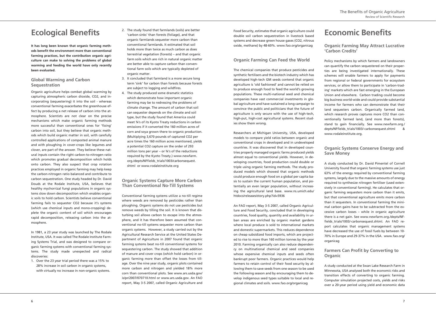## **Ecological Benefits**

It has long been known that organic farming meth**data benefit the environment more than conventional farming practices, but the contribution organic agri** $x$  culture can make to solving the problems of global **laby loog and feeding the world have only recently been** evaluated.

### **Global Warming and Carbon Sequestration**

## **Economic Benefits**

#### **Drganic Farming May Attract Lucrative 'Carbon Credits'**

### **Drganic Systems Conserve Energy and Save Money**

### **82 Earmers Can Profit by Converting to Organic**

Organic agriculture helps combat global warming by capturing atmospheric carbon dioxide, CO2, and incorporating (sequestering) it into the soil - whereas conventional farming exacerbates the greenhouse effect by producing a net release of carbon into the atmosphere. Scientists are not clear on the precise mechanisms which make organic farming methods more successful than conventional ones for 'fixing' carbon into soil, but they believe that organic methods which build organic matter in soil, with carefully controlled applications of composted animal manure and with ploughing in cover-crops like legumes and clover, are part of the answer. They believe these natural inputs contain the right carbon-to-nitrogen ratio which promotes gradual decomposition which holds onto carbon. They also suspect that crop rotation practices employed in organic farming may help keep the carbon-nitrogen ratio balanced and contribute to carbon sequestration. One study headed by Dr. David Douds at the Rodale Institute, USA, believes that healthy mychorrizal fungi populations in organic systems slow down decomposition which enables organic soils to hold carbon. Scientists believe conventional farming fails to sequester CO2 because it's systems (which use chemical inputs and mono-cropping) deplete the organic content of soil which encourages rapid decomposition, releasing carbon into the atmosphere.

In 1981, a 23 year study was launched by The Rodale Institute, USA. It was called The Rodale Institute Farming Systems Trial, and was designed to compare organic farming systems with conventional farming systems. The study made unexpected and radical discoveries:

1. Over the 23 year trial period there was a 15% to 28% increase in soil carbon in organic systems, with virtually no increase in non-organic systems.

- 2. The study found that farmlands (soils) are better 'carbon sinks' than forests (foliage), and that organic farmlands sequester more carbon than conventional farmlands. It estimated that soil holds more than twice as much carbon as does terrestrial vegetation (forests) – and that organic farm soils which are rich in natural organic matter are better able to capture carbon than conventional farm soils which are typically depleted of organic matter.
- 3. It concluded that farmland is a more secure long term 'sink' for carbon than forests because forests are subject to logging and wildfires.
- 4. The study produced some dramatic statistics which demonstrate how important organic farming may be to redressing the problems of climate change. The amount of carbon that soil can sequester depends on the climate and soil type, but the study found that America could meet ¾'s of its Kyoto Treaty reductions in carbon emissions if it converted the 160 million acres of corn and soya grown there to organic production. (Multiplying 3,670 pounds of captured CO2 per acre times the 160 million acres mentioned, yields a potential CO2 capture on the order of 293 million tons per year – or  $\frac{3}{4}$ 's of the reductions required by the Kyoto Treaty.) www.newfarm. org./depts/NFfields\_trials/1003/carbonsequest. shtml or www.rodaleinstitute.org

### **Drganic Systems Capture More Carbon Than Conventional No-Till Systems**

Conventional farming systems utilize a no-till regime where weeds are removed by pesticides rather than ploughing. Organic systems do not use pesticides but remove weeds by tilling the soil. It is known that disturbing soil allows carbon to escape into the atmosphere, and it has therefore been assumed that conventional no-till systems sequester more carbon than organic systems. However, a study carried out by the Agricultural Research Service at the United States Department of Agriculture in 2007 found that organic farming systems beat no-till conventional systems for sequestering carbon. The study showed that addition of manure and cover crops (which hold carbon) in organic farming more than offset the losses from tillage. Over the nine year study, organic plots contained more carbon and nitrogen and yielded 18% more corn than conventional plots. See www.ars.usda.gov/ is/pr/2007/070710.html or www.ars.usda.gov. An FAO report, May 3-5 2007, called Organic Agriculture and

Food Security, estimates that organic agriculture could double soil carbon sequestration in livestock based systems and decrease green house gases (CO2, nitrous oxide, methane) by 48-60%. www.fao.org/organicag

### **Drganic Farming Can Feed the World**

The chemical companies that produce pesticides and synthetic fertilisers and the biotech industry which has developed high-tech GM seeds contend that organic agriculture is 'old fashioned' and cannot be relied on to produce enough food to feed the world's growing populations. These multi-national seed and chemical companies have vast commercial investments in global agriculture and have sustained a long campaign to convince the public and politicians that the future of agriculture is only secure with the use of high-tech, high-put, high-cost agricultural systems. Recent studies show them wrong.

Researchers at Michigan University, USA, developed models to compare yield ratios between organic and conventional crops in developed and in undeveloped countries. It was discovered that in developed countries properly managed organic farms produced yields almost equal to conventional yields. However, in developing countries, food production could double or triple using organic farming methods. The study produced models which showed that organic methods could produce enough food on a global per capita basis to sustain the current human population, and potentially an even larger population, without increasing the agricultural land base. www.ns.umich.edu/ htdocs/releases/story.php?id=5936

An FAO report, May 3-5 2007, called Organic Agriculture and Food Security, concluded that in developing countries, food quality, quantity and availability in urban areas are enriched by organic market gardens where local produce is sold to international markets and domestic supermarkets. This reduces dependence on cheap subsidized food imports, which are projected to rise to more than 160 million tonnes by the year 2010. Farming organically can also reduce dependency on multinational chemical and seed companies whose expensive chemical inputs and seeds often bankrupt poor farmers. Organic practices would help farmers to retain control of their food security by allowing them to save seeds from one season to be used the following season and by encouraging them to develop indigenous seed types suitable to local and regional climates and soils. www.fao.org/organicag

Policy mechanisms by which farmers and landowners can quantify the carbon sequestered on their properties are being investigated internationally. These schemes will enable farmers to apply for payments from regional or federal governments for ecosystem services, or allow them to participate in 'carbon-trading' markets which are fast emerging in the European Union and elsewhere. Carbon trading could become big business world-wide and could provide substantial income for farmers who can demonstrate that their land sequesters carbon. Organically farmed land, which research proves captures more CO2 than conventionally farmed land, (and more than forests), stand to gain financially. See www.newfarm.org./ depts/NFfields\_trials/1003/-carbonsequest.shtml & www.rodaleinstitute.org.

A study conducted by Dr. David Pimentel of Cornell University found that organic farming systems use just 63% of the energy required by conventional farming systems, largely due to the massive amounts of energy required to synthesize nitrogen fertiliser (used extensively in conventional farming). He calculates that organic farming sequesters more carbon than it emits, but that conventional agriculture emits more carbon than it sequesters. In conventional farming the minimal carbon gains have to be subtracted from the excessive carbon losses – while in organic agriculture there is a net gain. See www.newfarm.org./depts/NFfields\_trials/1003/-carbonsequest.shtml. An FAO report calculates that organic management systems have decreased the use of fossil fuels by between 10- 70% in Europe and 29-37% in the USA. www.fao.org/ organicag

A study conducted at the Swan Lake Research Farm in Minnesota, USA analysed both the economic risks and transition effects of converting to organic farming. Computer simulation projected costs, yields and risks over a 20-year period using yield and economic data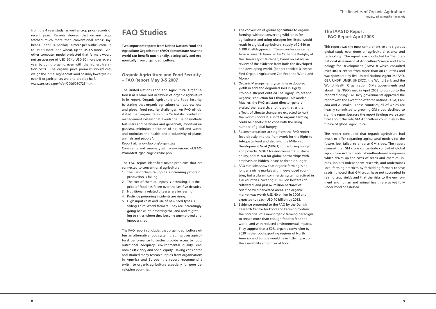### **The IAASTD Report - FAO Report April 2008**

from the 4 year study, as well as crop price records of recent years. Records showed that organic crops fetched much more than conventional crops: soybeans, up to USD (dollar) 14 more per bushel; corn, up to USD 3 more; and wheat, up to USD 5 more. Another computer model projected that farmers would net an average of USD 50 to USD 60 more per acre a year by going organic, even with the highest transition costs. The organic price premium would outweigh the initial higher costs and possibly lower yields, even if organic prices were to drop by half. www.ars.usda.gov/is/pr/2006/060725.htm

## **FAO** Studies

 **Two important reports from United Nations Food and Agriculture Organisation (FAO) demonstrate how the** *<u>x</u>* **world can benefit nutritionally, ecologically and economically from organic agriculture.** 

#### *<u>Organic Agriculture and Food Security</u>*  $-$  **FAO Report May 3-5 2007**

The United Nations Food and Agricultural Organisation (FAO) came out in favour of organic agriculture in its report, Organic Agriculture and Food Security, by stating that organic agriculture can address local and global food security challenges. An FAO official stated that organic farming is "a holistic production management system that avoids the use of synthetic fertilisers and pesticides and genetically modified organisms, minimises pollution of air, soil and water, and optimises the health and productivity of plants, animals and people".

Report at: www.fao.org/organicag Comments and summary at: www.i-sis.org.uk/FAO-PromotesOrganicAgriculture.php

The FAO report identified major problems that are connected to conventional agriculture:

- 1. The use of chemical inputs is increasing yet grain production is falling
- 2. The cost of chemical inputs is increasing, but the price of food has fallen over the last five decades
- 3. Nutritionally related diseases are increasing.
- 4. Pesticide poisoning incidents are rising.
- 5. High input costs and use of new seed types is failing Third World farmers. They are increasingly going bankrupt, deserting the land and migrating to cities where they become unemployed and impoverished.

The FAO report concludes that organic agriculture offers an alternative food system that improves agricultural performance to better provide access to food, nutritional adequacy, environmental quality, economic efficiency and social equity. Having considered and studied many research inputs from organisations in America and Europe, the report recommend a switch to organic agriculture especially for poor developing countries:

- 1. The conversion of global agriculture to organic farming, without converting wild lands for agricultures and using nitrogen fertilisers, would result in a global agricultural supply of 2,640 to 4,380 Kcal/day/person. These conclusions came from a research team led by Catherine Badgley at the University of Michigan, based on extensive review of the evidence from both the developed and developing world. (Report entitled Scientists Find Organic Agriculture Can Feed the World and More.)
- 2. Organic Management systems have doubled yields in arid and degraded soils in Tigray, Ethiopia. (Report entitled The Tigray Project and Organic Production for Ethiopia). Alexander Mueller, the FAO assistant director-general praised the research, and noted that as the effects of climate change are expected to hurt the world's poorest, a shift to organic farming could be beneficial to cope with the rising number of global hungry.
- 3. Recommendations arising from the FAO report feed directly into the framework for the Right to Adequate Food and also into the Millennium Development Goal (MDG1) for reducing hunger and poverty, MDG7 for environmental sustainability, and MDG8 for global partnerships with emphasis on hidden, acute or chronic hunger.
- 4. FAO statistics show that organic farming is no longer a niche market within developed countries, but a vibrant commercial system practiced in 120 countries, covering 31 million hectares of cultivated land plus 62 million hectares of certified wild harvested areas. The organic market was worth USD 40 billion in 2006 and expected to reach USD 70 billion by 2012.
- 5. Evidence presented to the FAO by the Danish Research Centre for Food and Farming confirm the potential of a new organic farming paradigm to secure more than enough food to feed the world, and with reduced environmental impacts. They suggest that a 50% organic conversion by 2020 in the food exporting regions of North America and Europe would have little impact on the availability and prices of food.

This report was the most comprehensive and rigorous global study ever done on agricultural science and technology. The report was conducted by The International Assessment of Agriculture Science and Technology for Development (IAASTD) which consulted over 400 scientists from more than 80 countries and was sponsored by five United Nations Agencies (FAO, GEF, UNDP, UNEP, UNESCO), the World Bank and the World Health Organisation. Sixty governments and about fifty NGO's met in April 2008 to sign up to the reports findings. All sixty governments approved the report with the exception of three nations – USA, Canada and Australia . These countries, all of which are heavily committed to growing GM crops, declined to sign the report because the report findings were sceptical about the role GM Agriculture could play in the future of global agriculture.

The report concluded that organic agriculture had much to offer regarding agricultural models for the future, but failed to endorse GM crops. The report stressed that GM crops concentrate control of global agriculture in the hands of multinational companies which drives up the costs of seeds and chemical inputs, inhibits independent research, and undermines local farming practices by forbidding farmers to save seeds. It noted that GM crops have not succeeded in raising crop yields and that the risks to the environment and human and animal health are as yet fully understood or assessed.